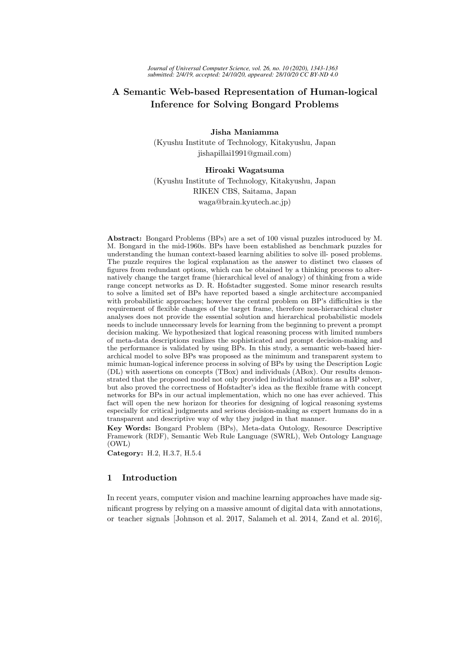# A Semantic Web-based Representation of Human-logical Inference for Solving Bongard Problems

Jisha Maniamma (Kyushu Institute of Technology, Kitakyushu, Japan jishapillai1991@gmail.com)

# Hiroaki Wagatsuma

(Kyushu Institute of Technology, Kitakyushu, Japan RIKEN CBS, Saitama, Japan waga@brain.kyutech.ac.jp)

Abstract: Bongard Problems (BPs) are a set of 100 visual puzzles introduced by M. M. Bongard in the mid-1960s. BPs have been established as benchmark puzzles for understanding the human context-based learning abilities to solve ill- posed problems. The puzzle requires the logical explanation as the answer to distinct two classes of figures from redundant options, which can be obtained by a thinking process to alternatively change the target frame (hierarchical level of analogy) of thinking from a wide range concept networks as D. R. Hofstadter suggested. Some minor research results to solve a limited set of BPs have reported based a single architecture accompanied with probabilistic approaches; however the central problem on BP's difficulties is the requirement of flexible changes of the target frame, therefore non-hierarchical cluster analyses does not provide the essential solution and hierarchical probabilistic models needs to include unnecessary levels for learning from the beginning to prevent a prompt decision making. We hypothesized that logical reasoning process with limited numbers of meta-data descriptions realizes the sophisticated and prompt decision-making and the performance is validated by using BPs. In this study, a semantic web-based hierarchical model to solve BPs was proposed as the minimum and transparent system to mimic human-logical inference process in solving of BPs by using the Description Logic (DL) with assertions on concepts (TBox) and individuals (ABox). Our results demonstrated that the proposed model not only provided individual solutions as a BP solver, but also proved the correctness of Hofstadter's idea as the flexible frame with concept networks for BPs in our actual implementation, which no one has ever achieved. This fact will open the new horizon for theories for designing of logical reasoning systems especially for critical judgments and serious decision-making as expert humans do in a transparent and descriptive way of why they judged in that manner.

Key Words: Bongard Problem (BPs), Meta-data Ontology, Resource Descriptive Framework (RDF), Semantic Web Rule Language (SWRL), Web Ontology Language (OWL)

Category: H.2, H.3.7, H.5.4

# 1 Introduction

In recent years, computer vision and machine learning approaches have made significant progress by relying on a massive amount of digital data with annotations, or teacher signals [Johnson et al. 2017, Salameh et al. 2014, Zand et al. 2016],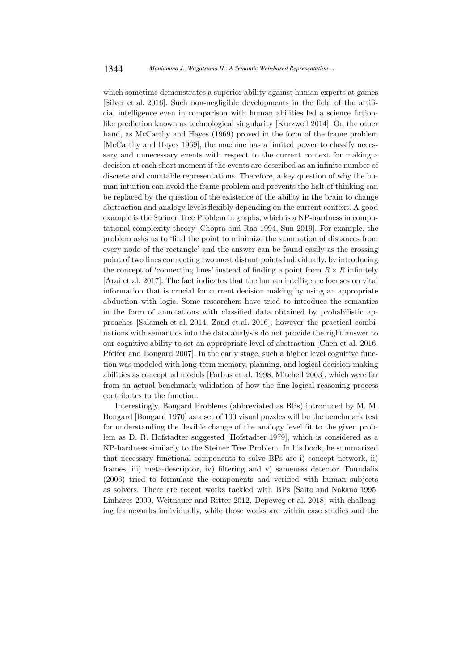which sometime demonstrates a superior ability against human experts at games [Silver et al. 2016]. Such non-negligible developments in the field of the artificial intelligence even in comparison with human abilities led a science fictionlike prediction known as technological singularity [Kurzweil 2014]. On the other hand, as McCarthy and Hayes (1969) proved in the form of the frame problem [McCarthy and Hayes 1969], the machine has a limited power to classify necessary and unnecessary events with respect to the current context for making a decision at each short moment if the events are described as an infinite number of discrete and countable representations. Therefore, a key question of why the human intuition can avoid the frame problem and prevents the halt of thinking can be replaced by the question of the existence of the ability in the brain to change abstraction and analogy levels flexibly depending on the current context. A good example is the Steiner Tree Problem in graphs, which is a NP-hardness in computational complexity theory [Chopra and Rao 1994, Sun 2019]. For example, the problem asks us to 'find the point to minimize the summation of distances from every node of the rectangle' and the answer can be found easily as the crossing point of two lines connecting two most distant points individually, by introducing the concept of 'connecting lines' instead of finding a point from  $R \times R$  infinitely [Arai et al. 2017]. The fact indicates that the human intelligence focuses on vital information that is crucial for current decision making by using an appropriate abduction with logic. Some researchers have tried to introduce the semantics in the form of annotations with classified data obtained by probabilistic approaches [Salameh et al. 2014, Zand et al. 2016]; however the practical combinations with semantics into the data analysis do not provide the right answer to our cognitive ability to set an appropriate level of abstraction [Chen et al. 2016, Pfeifer and Bongard 2007]. In the early stage, such a higher level cognitive function was modeled with long-term memory, planning, and logical decision-making abilities as conceptual models [Forbus et al. 1998, Mitchell 2003], which were far from an actual benchmark validation of how the fine logical reasoning process contributes to the function.

Interestingly, Bongard Problems (abbreviated as BPs) introduced by M. M. Bongard [Bongard 1970] as a set of 100 visual puzzles will be the benchmark test for understanding the flexible change of the analogy level fit to the given problem as D. R. Hofstadter suggested [Hofstadter 1979], which is considered as a NP-hardness similarly to the Steiner Tree Problem. In his book, he summarized that necessary functional components to solve BPs are i) concept network, ii) frames, iii) meta-descriptor, iv) filtering and v) sameness detector. Foundalis (2006) tried to formulate the components and verified with human subjects as solvers. There are recent works tackled with BPs [Saito and Nakano 1995, Linhares 2000, Weitnauer and Ritter 2012, Depeweg et al. 2018] with challenging frameworks individually, while those works are within case studies and the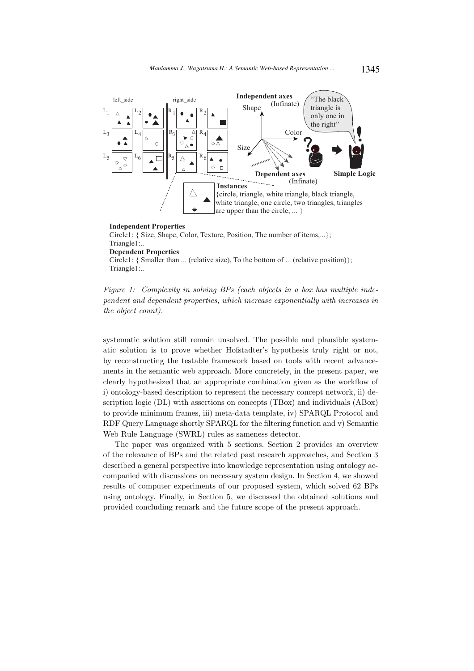

# **Independent Properties** Circle1: { Size, Shape, Color, Texture, Position, The number of items,...}; Triangle1:.. **Dependent Properties** Circle1: { Smaller than ... (relative size), To the bottom of ... (relative position)}; Triangle1:..

Figure 1: Complexity in solving BPs (each objects in a box has multiple independent and dependent properties, which increase exponentially with increases in the object count).

systematic solution still remain unsolved. The possible and plausible systematic solution is to prove whether Hofstadter's hypothesis truly right or not, by reconstructing the testable framework based on tools with recent advancements in the semantic web approach. More concretely, in the present paper, we clearly hypothesized that an appropriate combination given as the workflow of i) ontology-based description to represent the necessary concept network, ii) description logic (DL) with assertions on concepts (TBox) and individuals (ABox) to provide minimum frames, iii) meta-data template, iv) SPARQL Protocol and RDF Query Language shortly SPARQL for the filtering function and v) Semantic Web Rule Language (SWRL) rules as sameness detector.

The paper was organized with 5 sections. Section 2 provides an overview of the relevance of BPs and the related past research approaches, and Section 3 described a general perspective into knowledge representation using ontology accompanied with discussions on necessary system design. In Section 4, we showed results of computer experiments of our proposed system, which solved 62 BPs using ontology. Finally, in Section 5, we discussed the obtained solutions and provided concluding remark and the future scope of the present approach.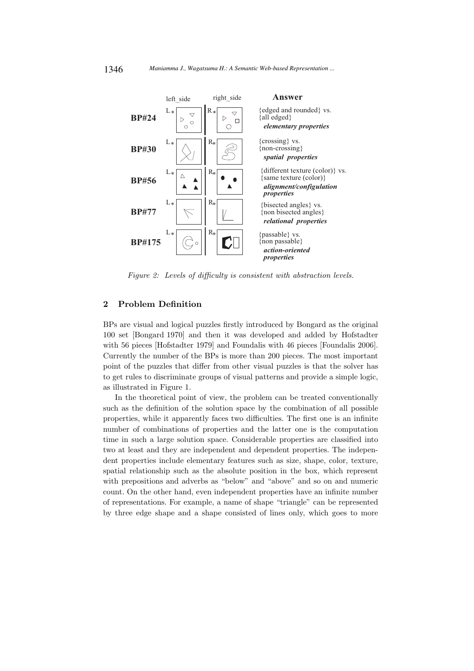

Figure 2: Levels of difficulty is consistent with abstraction levels.

# 2 Problem Definition

BPs are visual and logical puzzles firstly introduced by Bongard as the original 100 set [Bongard 1970] and then it was developed and added by Hofstadter with 56 pieces [Hofstadter 1979] and Foundalis with 46 pieces [Foundalis 2006]. Currently the number of the BPs is more than 200 pieces. The most important point of the puzzles that differ from other visual puzzles is that the solver has to get rules to discriminate groups of visual patterns and provide a simple logic, as illustrated in Figure 1.

In the theoretical point of view, the problem can be treated conventionally such as the definition of the solution space by the combination of all possible properties, while it apparently faces two difficulties. The first one is an infinite number of combinations of properties and the latter one is the computation time in such a large solution space. Considerable properties are classified into two at least and they are independent and dependent properties. The independent properties include elementary features such as size, shape, color, texture, spatial relationship such as the absolute position in the box, which represent with prepositions and adverbs as "below" and "above" and so on and numeric count. On the other hand, even independent properties have an infinite number of representations. For example, a name of shape "triangle" can be represented by three edge shape and a shape consisted of lines only, which goes to more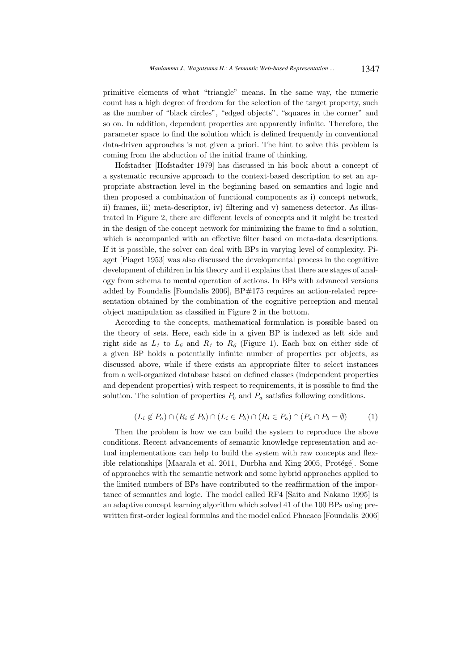primitive elements of what "triangle" means. In the same way, the numeric count has a high degree of freedom for the selection of the target property, such as the number of "black circles", "edged objects", "squares in the corner" and so on. In addition, dependent properties are apparently infinite. Therefore, the parameter space to find the solution which is defined frequently in conventional data-driven approaches is not given a priori. The hint to solve this problem is coming from the abduction of the initial frame of thinking.

Hofstadter [Hofstadter 1979] has discussed in his book about a concept of a systematic recursive approach to the context-based description to set an appropriate abstraction level in the beginning based on semantics and logic and then proposed a combination of functional components as i) concept network, ii) frames, iii) meta-descriptor, iv) filtering and v) sameness detector. As illustrated in Figure 2, there are different levels of concepts and it might be treated in the design of the concept network for minimizing the frame to find a solution, which is accompanied with an effective filter based on meta-data descriptions. If it is possible, the solver can deal with BPs in varying level of complexity. Piaget [Piaget 1953] was also discussed the developmental process in the cognitive development of children in his theory and it explains that there are stages of analogy from schema to mental operation of actions. In BPs with advanced versions added by Foundalis [Foundalis 2006], BP#175 requires an action-related representation obtained by the combination of the cognitive perception and mental object manipulation as classified in Figure 2 in the bottom.

According to the concepts, mathematical formulation is possible based on the theory of sets. Here, each side in a given BP is indexed as left side and right side as  $L_1$  to  $L_6$  and  $R_1$  to  $R_6$  (Figure 1). Each box on either side of a given BP holds a potentially infinite number of properties per objects, as discussed above, while if there exists an appropriate filter to select instances from a well-organized database based on defined classes (independent properties and dependent properties) with respect to requirements, it is possible to find the solution. The solution of properties  $P_b$  and  $P_a$  satisfies following conditions.

$$
(L_i \notin P_a) \cap (R_i \notin P_b) \cap (L_i \in P_b) \cap (R_i \in P_a) \cap (P_a \cap P_b = \emptyset)
$$
\n
$$
(1)
$$

Then the problem is how we can build the system to reproduce the above conditions. Recent advancements of semantic knowledge representation and actual implementations can help to build the system with raw concepts and flexible relationships [Maarala et al. 2011, Durbha and King 2005, Protégé]. Some of approaches with the semantic network and some hybrid approaches applied to the limited numbers of BPs have contributed to the reaffirmation of the importance of semantics and logic. The model called RF4 [Saito and Nakano 1995] is an adaptive concept learning algorithm which solved 41 of the 100 BPs using prewritten first-order logical formulas and the model called Phaeaco [Foundalis 2006]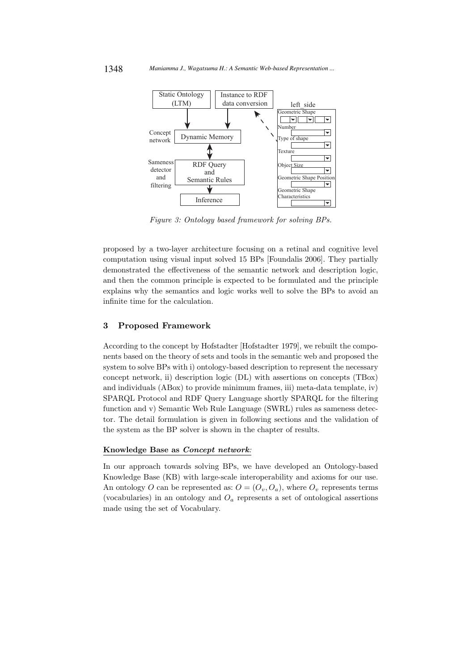

Figure 3: Ontology based framework for solving BPs.

proposed by a two-layer architecture focusing on a retinal and cognitive level computation using visual input solved 15 BPs [Foundalis 2006]. They partially demonstrated the effectiveness of the semantic network and description logic, and then the common principle is expected to be formulated and the principle explains why the semantics and logic works well to solve the BPs to avoid an infinite time for the calculation.

# 3 Proposed Framework

According to the concept by Hofstadter [Hofstadter 1979], we rebuilt the components based on the theory of sets and tools in the semantic web and proposed the system to solve BPs with i) ontology-based description to represent the necessary concept network, ii) description logic (DL) with assertions on concepts (TBox) and individuals (ABox) to provide minimum frames, iii) meta-data template, iv) SPARQL Protocol and RDF Query Language shortly SPARQL for the filtering function and v) Semantic Web Rule Language (SWRL) rules as sameness detector. The detail formulation is given in following sections and the validation of the system as the BP solver is shown in the chapter of results.

# Knowledge Base as Concept network:

In our approach towards solving BPs, we have developed an Ontology-based Knowledge Base (KB) with large-scale interoperability and axioms for our use. An ontology O can be represented as:  $O = (O_v, O_a)$ , where  $O_v$  represents terms (vocabularies) in an ontology and  $O_a$  represents a set of ontological assertions made using the set of Vocabulary.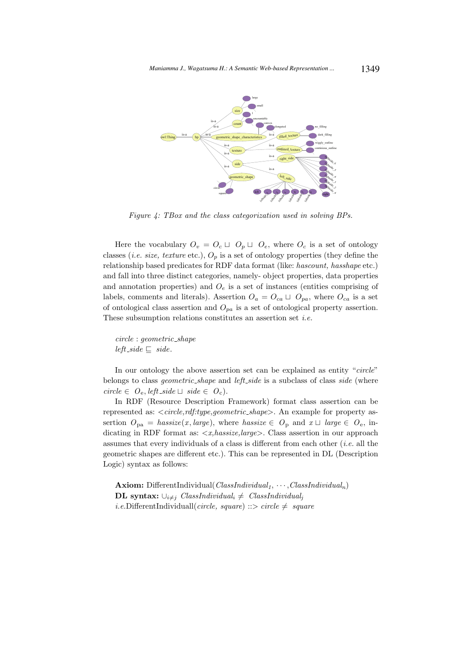

Figure 4: TBox and the class categorization used in solving BPs.

Here the vocabulary  $O_v = O_c \sqcup O_p \sqcup O_e$ , where  $O_c$  is a set of ontology classes (*i.e. size, texture* etc.),  $O_p$  is a set of ontology properties (they define the relationship based predicates for RDF data format (like: hascount, hasshape etc.) and fall into three distinct categories, namely- object properties, data properties and annotation properties) and  $O<sub>e</sub>$  is a set of instances (entities comprising of labels, comments and literals). Assertion  $O_a = O_{ca} \sqcup O_{pa}$ , where  $O_{ca}$  is a set of ontological class assertion and  $O_{pa}$  is a set of ontological property assertion. These subsumption relations constitutes an assertion set  $i.e.$ 

circle : geometric shape left\_side  $⊑$  side.

In our ontology the above assertion set can be explained as entity "circle" belongs to class *geometric\_shape* and *left\_side* is a subclass of class *side* (where circle ∈  $O_e$ , left\_side  $□$  side ∈  $O_c$ ).

In RDF (Resource Description Framework) format class assertion can be represented as:  $\langle circle, rdf. type, geometric\_shape \rangle$ . An example for property assertion  $O_{pa} = \text{hassize}(x, \text{large})$ , where  $\text{hassize} \in O_p$  and  $x \sqcup \text{large} \in O_e$ , indicating in RDF format as:  $\langle x, \text{hassize}, \text{large} \rangle$ . Class assertion in our approach assumes that every individuals of a class is different from each other  $(i.e.$  all the geometric shapes are different etc.). This can be represented in DL (Description Logic) syntax as follows:

**Axiom:** DifferentIndividual( $ClassIndividual_1, \cdots, ClassIndividual_n$ ) **DL** syntax:  $\bigcup_{i\neq j} ClassIndividual_i \neq ClassIndividual_i$ *i.e.*DifferentIndividuall(*circle, square*) ::> *circle*  $\neq$  *square*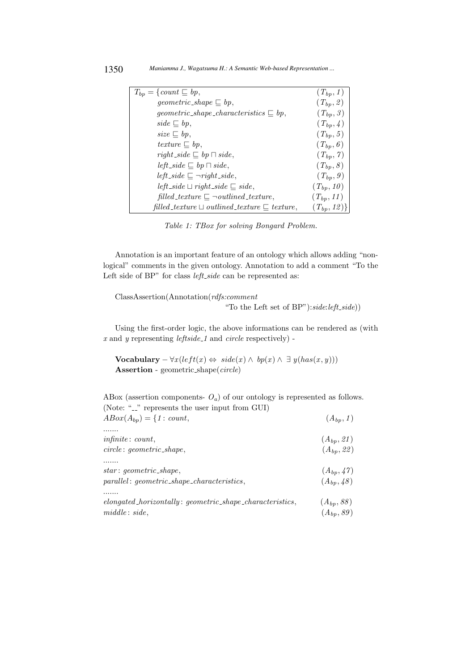| $T_{bp} = \{count \sqsubseteq bp,$                                                    | $(T_{bp}, 1)$           |
|---------------------------------------------------------------------------------------|-------------------------|
| $geometric\_shape \sqsubseteq bp$ ,                                                   | $(T_{bp}, 2)$           |
| <i>geometric_shape_characteristics</i> $\subseteq bp$ ,                               | $(T_{bp}, \mathcal{S})$ |
| $side \sqsubseteq bp$ ,                                                               | $(T_{bp}, 4)$           |
| $size \sqsubseteq bp$ ,                                                               | $(T_{bp}, 5)$           |
| texture $\sqsubseteq bp$ ,                                                            | $(T_{bp}, \theta)$      |
| $right\_side \sqsubseteq bp \sqcap side,$                                             | $(T_{bp}, 7)$           |
| $left\_side \sqsubseteq bp \sqcap side,$                                              | $(T_{bp}, 8)$           |
| left_side $\sqsubseteq \neg right\_side$ ,                                            | $(T_{bp}, g)$           |
| $left\_side \sqcup right\_side \sqsubseteq side,$                                     | $(T_{bp}, 10)$          |
| $\text{filled\_texture} \sqsubseteq \neg \text{ outlined\_texture},$                  | $(T_{bp}, 11)$          |
| $\text{filled\_texture} \sqcup \text{ outlined\_texture} \sqsubseteq \text{texture},$ | $(T_{bp}, 12)$          |

Table 1: TBox for solving Bongard Problem.

Annotation is an important feature of an ontology which allows adding "nonlogical" comments in the given ontology. Annotation to add a comment "To the Left side of BP" for class *left\_side* can be represented as:

ClassAssertion(Annotation(rdfs:comment "To the Left set of  $BP$ "): $side:left\_side$ )

Using the first-order logic, the above informations can be rendered as (with  $x$  and  $y$  representing *leftside\_1* and *circle* respectively) -

Vocabulary –  $\forall x (left(x) \Leftrightarrow side(x) \wedge bp(x) \wedge \exists y (has(x, y)))$ Assertion - geometric shape(circle)

ABox (assertion components-  $O_a$ ) of our ontology is represented as follows. (Note: " $\ldots$ " represents the user input from GUI)  $ABox(A_{bn}) = \{1 : count.$  (A<sub>bp</sub>)

| $\mu_{1}D\upsilon_{\psi}(\mu_{0}) = 1 \cdot \upsilon_{0}$     | (41bp, 1)      |
|---------------------------------------------------------------|----------------|
|                                                               |                |
| infinite: count,                                              | $(A_{bp}, 21)$ |
| $circle: geometric\_shape,$                                   | $(A_{bp}, 22)$ |
|                                                               |                |
| $star: geometric\_shape,$                                     | $(A_{bp}, 47)$ |
| $parallel: geometric\_shape\_characteristics,$                | $(A_{bp}, 48)$ |
|                                                               |                |
| $elongated\_horizontally: geometric\_shape\_characteristics,$ | $(A_{bp}, 88)$ |
| $middle: side$ ,                                              | $(A_{bp}, 89)$ |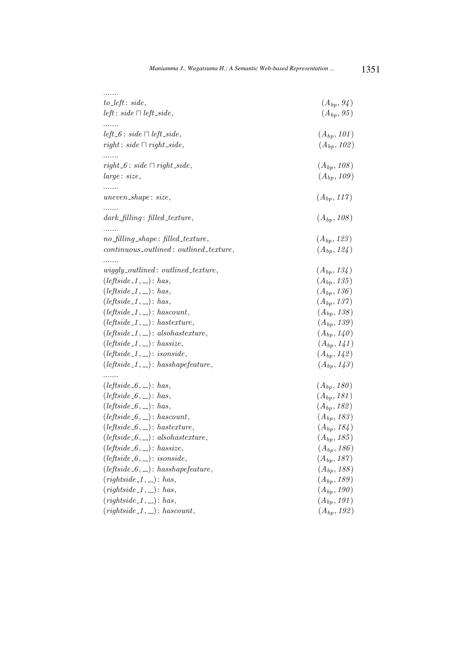| $to$ <sub>-left</sub> : $side$ ,          | $(A_{bp}, 94)$  |
|-------------------------------------------|-----------------|
| <i>left</i> : $side \sqcap left\_side$ ,  | $(A_{bp}, 95)$  |
|                                           |                 |
| $left_6:side \sqcap left\_side,$          | $(A_{bp}, 101)$ |
| $right: side \sqcap right\_side,$         | $(A_{bp}, 102)$ |
| .                                         |                 |
| $right_6: side \sqcap right\_side,$       | $(A_{bp}, 108)$ |
| large: size,                              | $(A_{bp}, 109)$ |
|                                           |                 |
| $uneven\_shape: size,$                    | $(A_{bp}, 117)$ |
|                                           |                 |
| $dark\_filling$ : filled_texture,         | $(A_{bp}, 108)$ |
| $no\_filling\_shape: filled\_texture,$    | $(A_{bp}, 123)$ |
|                                           |                 |
| $continuous\_outlined:$ outlined_texture, | $(A_{bp}, 124)$ |
| $wiggly\_outlined:$ outlined_texture,     | $(A_{bp}, 134)$ |
| $(leftside_1, \_): has,$                  | $(A_{bp}, 135)$ |
| $(leftside_1, \_): has,$                  | $(A_{bp}, 136)$ |
| $(leftside_1, \_): has,$                  | $(A_{bp}, 137)$ |
| $(leftside_1, \_): has count,$            | $(A_{bp}, 138)$ |
| $(leftside_1, \_):hasterture,$            | $(A_{bp}, 139)$ |
| $(leftside_1, \_): also has texture,$     | $(A_{bp}, 140)$ |
| $(leftside_1, \_): \textit{hassize},$     | $(A_{bp}, 141)$ |
| $(leftside_1, \_): isonside,$             | $(A_{bp}, 142)$ |
| $(leftside_1, \_): has shape feature,$    | $(A_{bp}, 143)$ |
| .                                         |                 |
| $(leftside_6, \_): has,$                  | $(A_{bp}, 180)$ |
| $(leftside_6, \_): has,$                  | $(A_{bp}, 181)$ |
| $(leftside_6, \_): has,$                  | $(A_{bp}, 182)$ |
| $(leftside_6, \_): hascount,$             | $(A_{bp}, 183)$ |
| $(leftside_6, \_):hasterture,$            | $(A_{bp}, 184)$ |
| $(leftside_6, \_): also has texture,$     | $(A_{bp}, 185)$ |
| $(leftside_6, \_): \textit{hassize},$     | $(A_{bp}, 186)$ |
| $(leftside_6, \_): is on side,$           | $(A_{bp}, 187)$ |
| $(leftside_6, \_): has shape feature,$    | $(A_{bp}, 188)$ |
| $(rightside_1, \ldots): has,$             | $(A_{bp}, 189)$ |
| $(rightside_1, \ldots): has,$             | $(A_{bp}, 190)$ |
| $(rightside_1, \ldots): has,$             | $(A_{bp}, 191)$ |
| $(rightside_1, \ldots): hascount,$        | $(A_{bp}, 192)$ |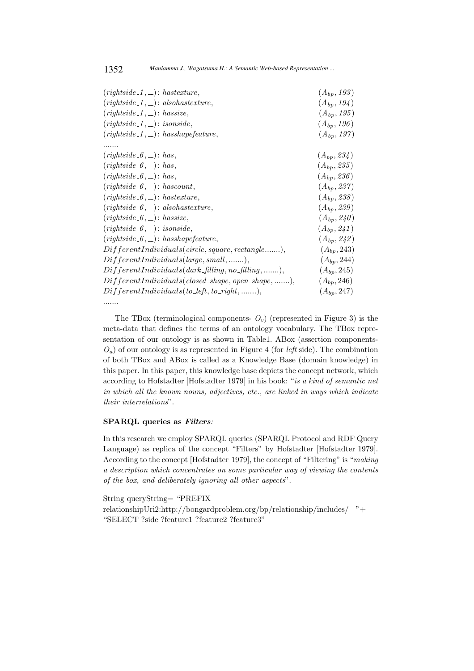| $(rightside_1, \ldots):hasterture,$                           | $(A_{bp}, 193)$ |
|---------------------------------------------------------------|-----------------|
| $(rightside_1, \ldots): also has texture,$                    | $(A_{bp}, 194)$ |
| $(rightside_1, )$ : hassize,                                  | $(A_{bp}, 195)$ |
| $(rightside_1, \_): is on side,$                              | $(A_{bp}, 196)$ |
| $(rightside_1, \ldots): has shape feature,$                   | $(A_{bp}, 197)$ |
|                                                               |                 |
| $(rightside_6, \_): has,$                                     | $(A_{bp}, 234)$ |
| $(rightside_6, \_): has,$                                     | $(A_{bp}, 235)$ |
| $(rightside_6, \_): has,$                                     | $(A_{bp}, 236)$ |
| $(rightside_6, \_): has count,$                               | $(A_{bp}, 237)$ |
| $(rightside_6, \_):hasterture,$                               | $(A_{bp}, 238)$ |
| $(rightside_6, \_): also has texture,$                        | $(A_{bp}, 239)$ |
| $(rightside_6, \_): \textit{hassize},$                        | $(A_{bp}, 240)$ |
| $(rightside_6, \_): is on side,$                              | $(A_{bp}, 241)$ |
| $(rightside_6, \_):\,has shape feature,$                      | $(A_{bp}, 242)$ |
| $Different Individuals (circle, square, rectangle),$          | $(A_{bp}, 243)$ |
| $Different Individuals(large, small, ),$                      | $(A_{bp}, 244)$ |
| $Different Individuals (dark-filling, no-filling, \ldots, ),$ | $(A_{bp}, 245)$ |
| $DifferentIndividuals (closed.shape, open.shape, ),$          | $(A_{bp}, 246)$ |
| $DifferentIndividuals(to\_left, to\_right, \ldots,$           | $(A_{bp}, 247)$ |
|                                                               |                 |

The TBox (terminological components-  $O<sub>v</sub>$ ) (represented in Figure 3) is the meta-data that defines the terms of an ontology vocabulary. The TBox representation of our ontology is as shown in Table1. ABox (assertion components- $O_a$ ) of our ontology is as represented in Figure 4 (for *left* side). The combination of both TBox and ABox is called as a Knowledge Base (domain knowledge) in this paper. In this paper, this knowledge base depicts the concept network, which according to Hofstadter [Hofstadter 1979] in his book: "is a kind of semantic net in which all the known nouns, adjectives, etc., are linked in ways which indicate their interrelations".

# SPARQL queries as Filters:

In this research we employ SPARQL queries (SPARQL Protocol and RDF Query Language) as replica of the concept "Filters" by Hofstadter [Hofstadter 1979]. According to the concept [Hofstadter 1979], the concept of "Filtering" is "making a description which concentrates on some particular way of viewing the contents of the box, and deliberately ignoring all other aspects".

String queryString= "PREFIX relationshipUri2:http://bongardproblem.org/bp/relationship/includes/ "+ "SELECT ?side ?feature1 ?feature2 ?feature3"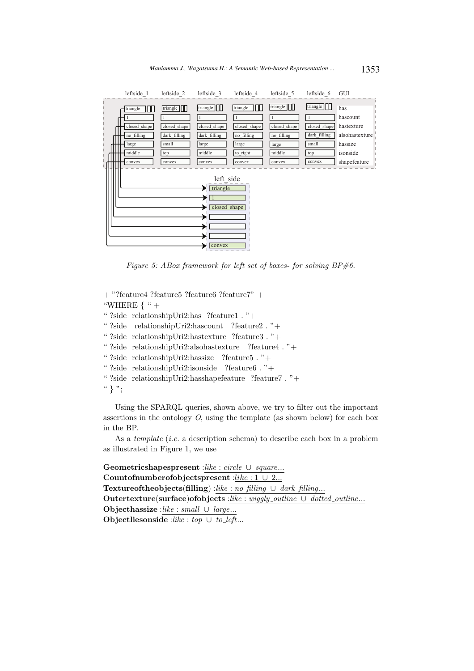

Figure 5: ABox framework for left set of boxes- for solving  $BP\#6$ .

```
+ "?feature4 ?feature5 ?feature6 ?feature7" +
"WHERE \{ " +
" ?side relationshipUri2:has ?feature1 . "+
" ?side relationshipUri2:hascount ?feature2 . "+
" ?side relationshipUri2:hastexture ?feature3 . "+
" ?side relationshipUri2:alsohastexture ?feature4 . "+
" ?side relationshipUri2:hassize ?feature5 . "+
" ?side relationshipUri2:isonside ?feature6 . "+
" ?side relationshipUri2:hasshapefeature ?feature7 . "+
``\} ":
```
Using the SPARQL queries, shown above, we try to filter out the important assertions in the ontology  $O$ , using the template (as shown below) for each box in the BP.

As a *template* (*i.e.* a description schema) to describe each box in a problem as illustrated in Figure 1, we use

Geometricshapespresent :like : circle ∪ square... Countofnumberofobjectspresent :like : 1 ∪ 2... Textureoftheobjects(filling) :like : no\_filling ∪ dark\_filling... Outertexture(surface)ofobjects :like : wiggly\_outline ∪ dotted\_outline... Objecthassize :like : small  $\cup$  large... Objectliesonside :like : top ∪ to\_left...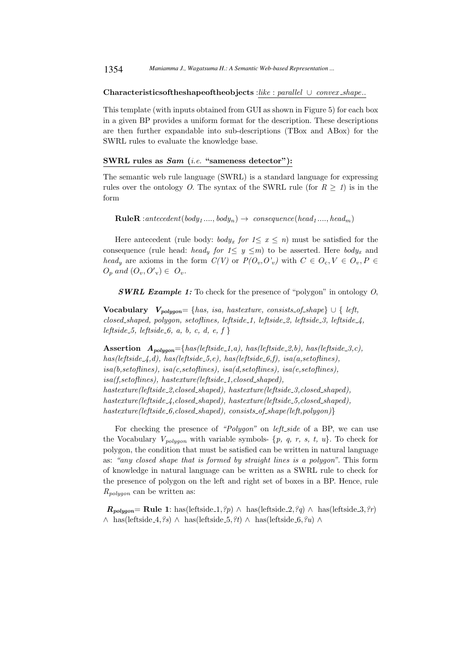1354 *Maniamma J., Wagatsuma H.: A Semantic Web-based Representation ...*

#### Characteristicsoftheshapeoftheobjects :like : parallel ∪ convex shape..

This template (with inputs obtained from GUI as shown in Figure 5) for each box in a given BP provides a uniform format for the description. These descriptions are then further expandable into sub-descriptions (TBox and ABox) for the SWRL rules to evaluate the knowledge base.

#### SWRL rules as Sam (i.e. "sameness detector"):

The semantic web rule language (SWRL) is a standard language for expressing rules over the ontology O. The syntax of the SWRL rule (for  $R \geq 1$ ) is in the form

 $RuleR: antecedent(body_1...., body_n) \rightarrow \: consequence(head_1...., head_m)$ 

Here antecedent (rule body: body<sub>x</sub> for  $1 \leq x \leq n$ ) must be satisfied for the consequence (rule head: head<sub>y</sub> for  $1 \leq y \leq m$ ) to be asserted. Here body<sub>x</sub> and head<sub>y</sub> are axioms in the form  $C(V)$  or  $P(O_v, O'_v)$  with  $C \in O_c, V \in O_v, P \in$  $O_p$  and  $(O_v, O'_v) \in O_v$ .

**SWRL Example 1:** To check for the presence of "polygon" in ontology  $O$ ,

Vocabulary  $V_{poluon} = \{has, is a, has texture, consists_of.shape\} \cup \{left, left,$ closed shaped, polygon, setoflines, leftside 1, leftside 2, leftside 3, leftside 4, leftside 5, leftside 6, a, b, c, d, e, f  $\}$ 

Assertion  $A_{poluon} = \{has(leftside_1, a), has(leftside_2, b), has(leftside_3, c),$ has(leftside  $\angle$ 4,d), has(leftside  $\angle$ 5,e), has(leftside  $\angle$ 6,f), isa(a,setoflines),  $is a(b, set of lines), is a(c, set of lines), is a(d, set of lines), is a(e, set of lines),$  $is a (f, set of lines),\ has texture (left side\_1, closed-shaped).$ hastexture(leftside\_2,closed\_shaped), hastexture(leftside\_3,closed\_shaped),  $hasterture (leftside \& \& close d.shape d),\ has texture (leftside \& 5, closed-shaped),$  $hasterture(leftside_6, closed-shaped), \text{ consists_of.shape}(left, polygon)$ }

For checking the presence of "Polygon" on left side of a BP, we can use the Vocabulary  $V_{polygon}$  with variable symbols- {p, q, r, s, t, u}. To check for polygon, the condition that must be satisfied can be written in natural language as: "any closed shape that is formed by straight lines is a polygon". This form of knowledge in natural language can be written as a SWRL rule to check for the presence of polygon on the left and right set of boxes in a BP. Hence, rule  $R_{poluon}$  can be written as:

 $R_{\text{polygon}} = \text{Rule 1: has}(\text{leftside}.1, \text{?p}) \land \text{has}(\text{leftside}.2, \text{?q}) \land \text{has}(\text{leftside}.3, \text{?r})$ ∧ has(leftside\_4, ?s) ∧ has(leftside\_5, ?t) ∧ has(leftside\_6, ?u) ∧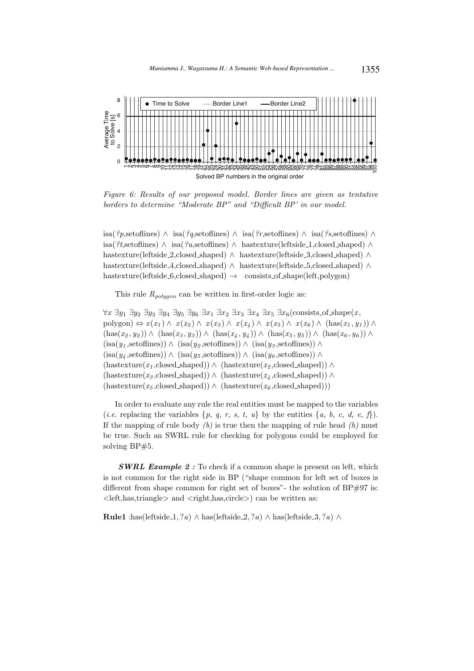

Figure 6: Results of our proposed model. Border lines are given as tentative borders to determine "Moderate BP" and "Difficult BP' in our model.

isa(?p,setoflines) ∧ isa(?q,setoflines) ∧ isa(?r,setoflines) ∧ isa(?s,setoflines) ∧ isa(?t,setoflines) ∧ isa(?u,setoflines) ∧ hastexture(leftside 1,closed shaped) ∧ hastexture(leftside 2,closed shaped) ∧ hastexture(leftside 3,closed shaped) ∧ hastexture(leftside 4,closed shaped) ∧ hastexture(leftside 5,closed shaped) ∧ hastexture(leftside 6,closed shaped)  $\rightarrow$  consists of shape(left,polygon)

This rule  $R_{poluon}$  can be written in first-order logic as:

 $\forall x \exists y_1 \exists y_2 \exists y_3 \exists y_4 \exists y_5 \exists y_6 \exists x_1 \exists x_2 \exists x_3 \exists x_4 \exists x_5 \exists x_6 \text{(consists_of.shape}(x,$ polygon)  $\Leftrightarrow x(x_1) \wedge x(x_2) \wedge x(x_3) \wedge x(x_4) \wedge x(x_5) \wedge x(x_6) \wedge (\text{has}(x_1, y_1)) \wedge$  $(has(x_2, y_2)) \wedge (has(x_3, y_3)) \wedge (has(x_4, y_4)) \wedge (has(x_5, y_5)) \wedge (has(x_6, y_6))$  $(isa(y_1,set of lines)) \wedge (isa(y_2,set of lines)) \wedge (isa(y_3,set of lines)) \wedge$  $(\text{isa}(y_4, \text{setoflines})) \wedge (\text{isa}(y_5, \text{setoflines})) \wedge (\text{isa}(y_6, \text{setoflines})) \wedge$  $(hastexture(x_1, closed-shaped)) \wedge (hastexture(x_2, closed-shaped)) \wedge (hastexture(x_3, closed-shaped))$  $(hasterature(x_3, closed.shape d)) \wedge (hasterture(x_4, closed.shape d)) \wedge$  $(hasterture(x_5, closed.shape d)) \wedge (hasterture(x_6, closed.shape d)))$ 

In order to evaluate any rule the real entities must be mapped to the variables (*i.e.* replacing the variables  $\{p, q, r, s, t, u\}$  by the entities  $\{a, b, c, d, e, f\}$ ). If the mapping of rule body  $(b)$  is true then the mapping of rule head  $(h)$  must be true. Such an SWRL rule for checking for polygons could be employed for solving BP#5.

**SWRL Example 2:** To check if a common shape is present on left, which is not common for the right side in BP ("shape common for left set of boxes is different from shape common for right set of boxes"- the solution of  $BP#97$  is:  $\langle$ left,has,triangle $>$  and  $\langle$ right,has,circle $>$ ) can be written as:

**Rule1** :has(leftside\_1, ?*a*) ∧ has(leftside\_2, ?*a*) ∧ has(leftside\_3, ?*a*) ∧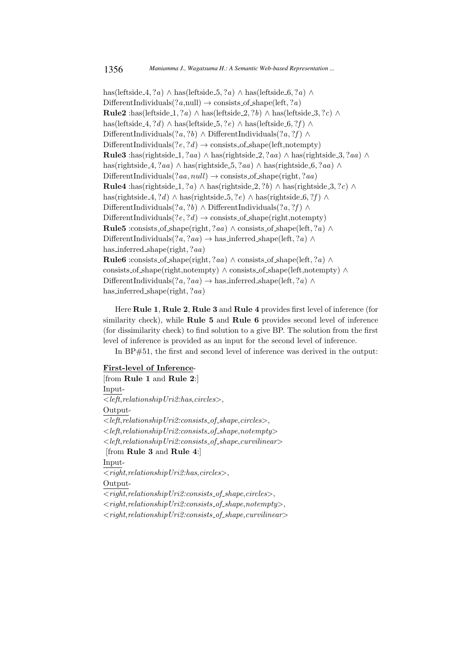has(leftside 4, ?a) ∧ has(leftside 5, ?a) ∧ has(leftside 6, ?a) ∧  $\text{DifferentIndividuals}(?a, \text{null}) \rightarrow \text{consists_of.shape}(\text{left}, ?a)$ **Rule2** :has(leftside\_1, ?*a*) ∧ has(leftside\_2, ?*b*) ∧ has(leftside\_3, ?*c*) ∧ has(leftside 4, ?d) ∧ has(leftside 5, ?e) ∧ has(leftside 6, ?f) ∧ DifferentIndividuals $(?a, ?b) \wedge$ DifferentIndividuals $(?a, ?f) \wedge$ DifferentIndividuals $(?e, ?d) \rightarrow \text{consists_of.shape}(\text{left}.\text{notempty})$ **Rule3** :has(rightside\_1, ?aa) ∧ has(rightside\_2, ?aa) ∧ has(rightside\_3, ?aa) ∧ has(rightside 4, ?aa) ∧ has(rightside 5, ?aa) ∧ has(rightside 6, ?aa) ∧ DifferentIndividuals $(?aa, null) \rightarrow \text{consists_of.shape}(\text{right}, ?aa)$ Rule4 :has(rightside\_1, ?a) ∧ has(rightside\_2, ?b) ∧ has(rightside\_3, ?c) ∧ has(rightside 4, ?d) ∧ has(rightside 5, ?e) ∧ has(rightside 6, ?f) ∧ DifferentIndividuals $(?a, ?b) \wedge$ DifferentIndividuals $(?a, ?f) \wedge$ DifferentIndividuals $(?e, ?d) \rightarrow \text{consists_of.shape}(\text{right}, \text{notempty})$ **Rule5** :consists of shape(right, ?aa) ∧ consists of shape(left, ?a) ∧ DifferentIndividuals $(?a, ?aa) \rightarrow$  has inferred shape(left,  $?a) \land$ has inferred shape(right, ?aa) Rule6 :consists of shape(right, ?aa) ∧ consists of shape(left, ?a) ∧ consists of shape(right,notempty) ∧ consists of shape(left,notempty) ∧ DifferentIndividuals $(?a, ?aa) \rightarrow$  has inferred shape(left,  $?a) \land$ has inferred shape(right, ?aa)

Here Rule 1, Rule 2, Rule 3 and Rule 4 provides first level of inference (for similarity check), while Rule 5 and Rule 6 provides second level of inference (for dissimilarity check) to find solution to a give BP. The solution from the first level of inference is provided as an input for the second level of inference.

In BP#51, the first and second level of inference was derived in the output:

#### First-level of Inference-

[from Rule 1 and Rule 2:] Input-  $< left, relationship\,Uri2:has, circles>$ , Output-  $\langle e, let, relationship Uri2: consists_of.shape, circles \rangle,$  $\langle left, relationship \, Uri2: consists_of\_shape, not empty \rangle$  $\langle left, relationship \, Uri2: consists_of\_shape, curvilinear \rangle$ [from Rule 3 and Rule 4:] Input-  $<$ right,relationshipUri2:has,circles>, Output-  $<$ right,relationshipUri2:consists\_of\_shape,circles $>$ ,  $<$ right,relationshipUri2:consists\_of\_shape,notempty>,  $\langle right, relationship \, Uri2: consists_of\_shape, curvilinear \rangle$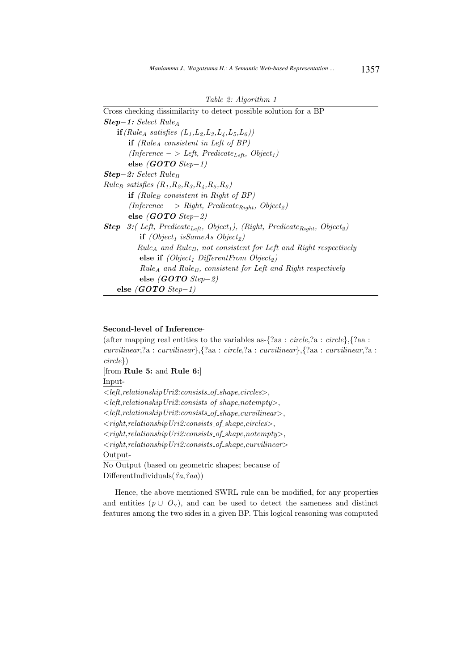| Cross checking dissimilarity to detect possible solution for a BP                                                                   |  |  |  |
|-------------------------------------------------------------------------------------------------------------------------------------|--|--|--|
| $Step-1: Select RuleA$                                                                                                              |  |  |  |
| $\mathbf{if}(\text{Rule}_A \text{ satisfies } (L_1, L_2, L_3, L_4, L_5, L_6))$                                                      |  |  |  |
| <b>if</b> (Rule <sub>A</sub> consistent in Left of BP)                                                                              |  |  |  |
| $(Inference - > Left, Predicate_{Left}, Object_1)$                                                                                  |  |  |  |
| else $(GOTO\ Step-1)$                                                                                                               |  |  |  |
| <b>Step-2:</b> Select Rule <sub>B</sub>                                                                                             |  |  |  |
| $Rule_B \ satisfies (R_1, R_2, R_3, R_4, R_5, R_6)$                                                                                 |  |  |  |
| <b>if</b> (Rule <sub>B</sub> consistent in Right of BP)                                                                             |  |  |  |
| $(Inference \rightarrow Right, Predicting_{Right}, Object_2)$                                                                       |  |  |  |
| else (GOTO Step-2)                                                                                                                  |  |  |  |
| <b>Step-3:</b> (Left, Predicate <sub>Left</sub> , Object <sub>1</sub> ), (Right, Predicate <sub>Right</sub> , Object <sub>2</sub> ) |  |  |  |
| $\mathbf{if}$ (Object <sub>1</sub> is Same As Object <sub>2</sub> )                                                                 |  |  |  |
| $Rule_A$ and Rule <sub>B</sub> , not consistent for Left and Right respectively                                                     |  |  |  |
| <b>else if</b> ( <i>Object<sub>1</sub></i> DifferentFrom Object <sub>2</sub> )                                                      |  |  |  |
| $Rule_A$ and Rule <sub>B</sub> , consistent for Left and Right respectively                                                         |  |  |  |
| else ( <i>GOTO Step-2</i> )                                                                                                         |  |  |  |
| else $(GOTO\ Step-1)$                                                                                                               |  |  |  |

# Second-level of Inference-

(after mapping real entities to the variables as- $\{?aa : circle, ?a : circle\}, \{?aa :$ curvilinear,?a : curvilinear},{?aa : circle,?a : curvilinear},{?aa : curvilinear,?a : circle}) [from Rule 5: and Rule 6:] Input-  $\overline{<}$ left,relationshipUri2:consists\_of\_shape,circles>,  $\langle left, relationship \, Uri2: consists_of.shape, not empty \rangle,$  $\langle left, relationship \, Uri2: consists_of.shape, curvilinear\rangle,$  $<$ right,relationshipUri2:consists\_of\_shape,circles>,  $<$ right,relationshipUri2:consists\_of\_shape,notempty>,  $<$ right,relationshipUri2:consists\_of\_shape,curvilinear> Output-No Output (based on geometric shapes; because of DifferentIndividuals( $(a, a, a)$ )

Hence, the above mentioned SWRL rule can be modified, for any properties and entities  $(p \cup O_v)$ , and can be used to detect the sameness and distinct features among the two sides in a given BP. This logical reasoning was computed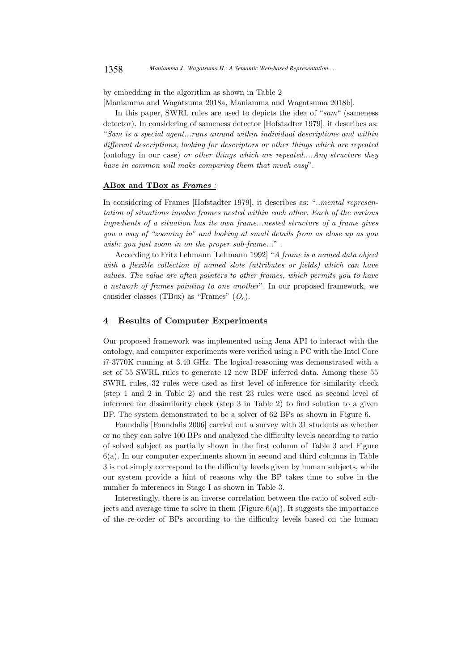by embedding in the algorithm as shown in Table 2

[Maniamma and Wagatsuma 2018a, Maniamma and Wagatsuma 2018b].

In this paper, SWRL rules are used to depicts the idea of "sam" (sameness detector). In considering of sameness detector [Hofstadter 1979], it describes as: "Sam is a special agent...runs around within individual descriptions and within different descriptions, looking for descriptors or other things which are repeated (ontology in our case) or other things which are repeated....Any structure they have in common will make comparing them that much easy".

# ABox and TBox as Frames :

In considering of Frames [Hofstadter 1979], it describes as: "...mental representation of situations involve frames nested within each other. Each of the various ingredients of a situation has its own frame...nested structure of a frame gives you a way of "zooming in" and looking at small details from as close up as you wish: you just zoom in on the proper sub-frame...".

According to Fritz Lehmann [Lehmann 1992] "A frame is a named data object with a flexible collection of named slots (attributes or fields) which can have values. The value are often pointers to other frames, which permits you to have a network of frames pointing to one another". In our proposed framework, we consider classes (TBox) as "Frames"  $(O_c)$ .

# 4 Results of Computer Experiments

Our proposed framework was implemented using Jena API to interact with the ontology, and computer experiments were verified using a PC with the Intel Core i7-3770K running at 3.40 GHz. The logical reasoning was demonstrated with a set of 55 SWRL rules to generate 12 new RDF inferred data. Among these 55 SWRL rules, 32 rules were used as first level of inference for similarity check (step 1 and 2 in Table 2) and the rest 23 rules were used as second level of inference for dissimilarity check (step 3 in Table 2) to find solution to a given BP. The system demonstrated to be a solver of 62 BPs as shown in Figure 6.

Foundalis [Foundalis 2006] carried out a survey with 31 students as whether or no they can solve 100 BPs and analyzed the difficulty levels according to ratio of solved subject as partially shown in the first column of Table 3 and Figure 6(a). In our computer experiments shown in second and third columns in Table 3 is not simply correspond to the difficulty levels given by human subjects, while our system provide a hint of reasons why the BP takes time to solve in the number fo inferences in Stage I as shown in Table 3.

Interestingly, there is an inverse correlation between the ratio of solved subjects and average time to solve in them (Figure  $6(a)$ ). It suggests the importance of the re-order of BPs according to the difficulty levels based on the human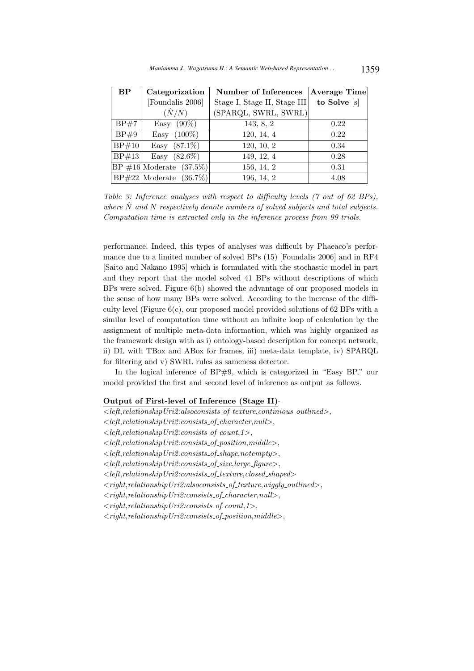| BP    | Categorization                  | Number of Inferences         | <b>Average Time</b> |
|-------|---------------------------------|------------------------------|---------------------|
|       | [Foundalis 2006]                | Stage I, Stage II, Stage III | to Solve [s]        |
|       | $(\hat N/N)$                    | (SPARQL, SWRL, SWRL)         |                     |
| BP#7  | Easy $(90\%)$                   | 143, 8, 2                    | 0.22                |
| BP#9  | $(100\%)$<br>Easy               | 120, 14, 4                   | 0.22                |
| BP#10 | Easy $(87.1\%)$                 | 120, 10, 2                   | 0.34                |
| BP#13 | Easy $(82.6\%)$                 | 149, 12, 4                   | 0.28                |
|       | $ BP \#16 $ Moderate $(37.5\%)$ | 156, 14, 2                   | 0.31                |
|       | $ BP#22 $ Moderate $(36.7\%)$   | 196, 14, 2                   | 4.08                |

Table 3: Inference analyses with respect to difficulty levels (7 out of 62 BPs), where  $\hat{N}$  and N respectively denote numbers of solved subjects and total subjects. Computation time is extracted only in the inference process from 99 trials.

performance. Indeed, this types of analyses was difficult by Phaeaco's performance due to a limited number of solved BPs (15) [Foundalis 2006] and in RF4 [Saito and Nakano 1995] which is formulated with the stochastic model in part and they report that the model solved 41 BPs without descriptions of which BPs were solved. Figure 6(b) showed the advantage of our proposed models in the sense of how many BPs were solved. According to the increase of the difficulty level (Figure 6(c), our proposed model provided solutions of 62 BPs with a similar level of computation time without an infinite loop of calculation by the assignment of multiple meta-data information, which was highly organized as the framework design with as i) ontology-based description for concept network, ii) DL with TBox and ABox for frames, iii) meta-data template, iv) SPARQL for filtering and v) SWRL rules as sameness detector.

In the logical inference of  $BP#9$ , which is categorized in "Easy  $BP$ ," our model provided the first and second level of inference as output as follows.

# Output of First-level of Inference (Stage II)-

 $\leq$  left, relationship Uri2: also consists of texture, continious outlined >,  $\langle left, relationship \, Uri2: consists_of{\_}character, null\rangle,$  $\langle left, relationship \, Uri2:consists_of_count, 1 \rangle,$  $\leq$  left, relationship Uri2: consists of position, middle  $\geq$ .

 $\langle left, relationship \, Uri2: consists_of.shape, not empty\rangle,$ 

 $\langle left, relationship \, Uri2: consists_of_size, large-figure>,$ 

 $\langle left, relationship \, Uri2: consists_of\_ texture, closed\_shaped \rangle$ 

 $<$ right,relationshipUri2:alsoconsists\_of\_texture,wiggly\_outlined>,

 $<$ right,relationshipUri2:consists\_of\_character,null>,

 $<$ right,relationshipUri2:consists\_of\_count,1>,

 $<$ right,relationshipUri2:consists\_of\_position,middle>,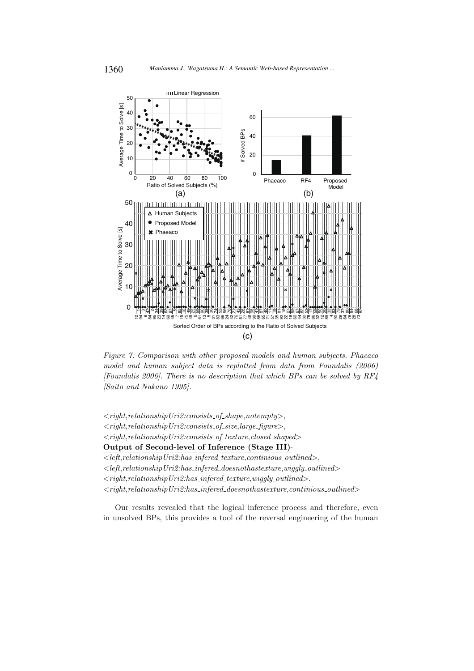

Figure 7: Comparison with other proposed models and human subjects. Phaeaco model and human subject data is replotted from data from Foundalis (2006) [Foundalis 2006]. There is no description that which BPs can be solved by  $RF4$ [Saito and Nakano 1995].

 $\langle right, relationship \, Uri2: consists_of.shape, not empty\rangle,$  $<$ right,relationshipUri2:consists\_of\_size,large\_figure>,  $<$ right,relationshipUri2:consists\_of\_texture,closed\_shaped> Output of Second-level of Inference (Stage III)-  $\overline{<}$ left,relationshipUri2:has\_infered\_texture,continious\_outlined>,  $\langle \textit{left},\textit{relationship Uri2:has}.\textit{inferred}\_\textit{doesnot}has \textit{texture},wiggly\_outlined\rangle$  $\langle$  right, relationship Uri2:has\_infered\_texture, wiggly\_outlined>,  $<$ right,relationshipUri2:has\_infered\_doesnothastexture,continious\_outlined>

Our results revealed that the logical inference process and therefore, even in unsolved BPs, this provides a tool of the reversal engineering of the human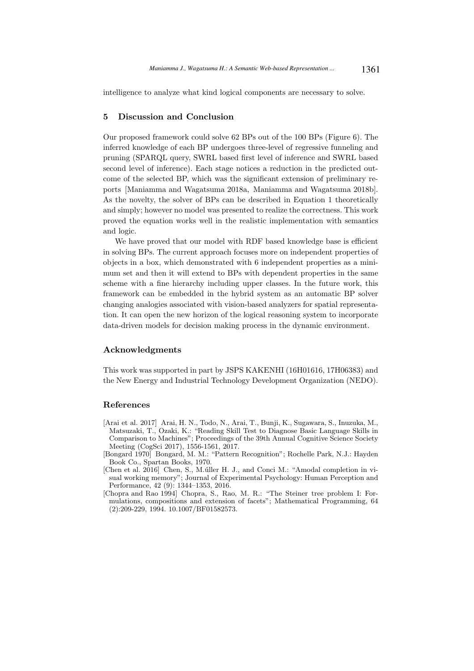intelligence to analyze what kind logical components are necessary to solve.

# 5 Discussion and Conclusion

Our proposed framework could solve 62 BPs out of the 100 BPs (Figure 6). The inferred knowledge of each BP undergoes three-level of regressive funneling and pruning (SPARQL query, SWRL based first level of inference and SWRL based second level of inference). Each stage notices a reduction in the predicted outcome of the selected BP, which was the significant extension of preliminary reports [Maniamma and Wagatsuma 2018a, Maniamma and Wagatsuma 2018b]. As the novelty, the solver of BPs can be described in Equation 1 theoretically and simply; however no model was presented to realize the correctness. This work proved the equation works well in the realistic implementation with semantics and logic.

We have proved that our model with RDF based knowledge base is efficient in solving BPs. The current approach focuses more on independent properties of objects in a box, which demonstrated with 6 independent properties as a minimum set and then it will extend to BPs with dependent properties in the same scheme with a fine hierarchy including upper classes. In the future work, this framework can be embedded in the hybrid system as an automatic BP solver changing analogies associated with vision-based analyzers for spatial representation. It can open the new horizon of the logical reasoning system to incorporate data-driven models for decision making process in the dynamic environment.

# Acknowledgments

This work was supported in part by JSPS KAKENHI (16H01616, 17H06383) and the New Energy and Industrial Technology Development Organization (NEDO).

#### References

- [Arai et al. 2017] Arai, H. N., Todo, N., Arai, T., Bunji, K., Sugawara, S., Inuzuka, M., Matsuzaki, T., Ozaki, K.: "Reading Skill Test to Diagnose Basic Language Skills in Comparison to Machines"; Proceedings of the 39th Annual Cognitive Science Society Meeting (CogSci 2017), 1556-1561, 2017.
- [Bongard 1970] Bongard, M. M.: "Pattern Recognition"; Rochelle Park, N.J.: Hayden Book Co., Spartan Books, 1970.
- [Chen et al. 2016] Chen, S., M. uller H. J., and Conci M.: "Amodal completion in visual working memory"; Journal of Experimental Psychology: Human Perception and Performance, 42 (9): 1344–1353, 2016.
- [Chopra and Rao 1994] Chopra, S., Rao, M. R.: "The Steiner tree problem I: Formulations, compositions and extension of facets"; Mathematical Programming, 64 (2):209-229, 1994. 10.1007/BF01582573.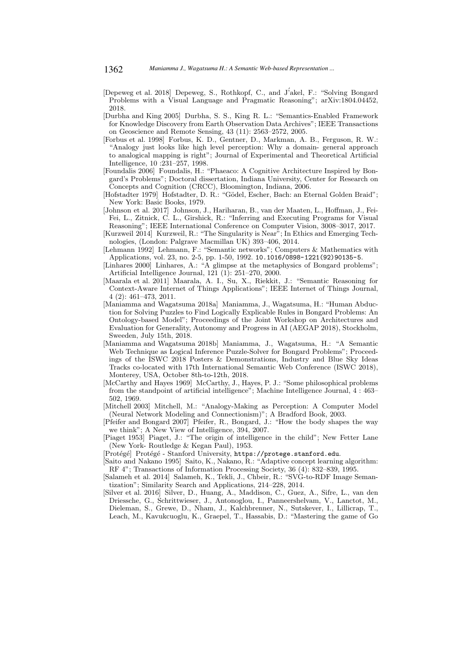- [Depeweg et al. 2018] Depeweg, S., Rothkopf, C., and J'akel, F.: "Solving Bongard Problems with a Visual Language and Pragmatic Reasoning"; arXiv:1804.04452, 2018.
- [Durbha and King 2005] Durbha, S. S., King R. L.: "Semantics-Enabled Framework for Knowledge Discovery from Earth Observation Data Archives"; IEEE Transactions on Geoscience and Remote Sensing, 43 (11): 2563–2572, 2005.
- [Forbus et al. 1998] Forbus, K. D., Gentner, D., Markman, A. B., Ferguson, R. W.: "Analogy just looks like high level perception: Why a domain- general approach to analogical mapping is right"; Journal of Experimental and Theoretical Artificial Intelligence, 10 :231–257, 1998.
- [Foundalis 2006] Foundalis, H.: "Phaeaco: A Cognitive Architecture Inspired by Bongard's Problems"; Doctoral dissertation, Indiana University, Center for Research on Concepts and Cognition (CRCC), Bloomington, Indiana, 2006.
- [Hofstadter 1979] Hofstadter, D. R.: "G¨odel, Escher, Bach: an Eternal Golden Braid"; New York: Basic Books, 1979.
- [Johnson et al. 2017] Johnson, J., Hariharan, B., van der Maaten, L., Hoffman, J., Fei-Fei, L., Zitnick, C. L., Girshick, R.: "Inferring and Executing Programs for Visual Reasoning"; IEEE International Conference on Computer Vision, 3008–3017, 2017.
- [Kurzweil 2014] Kurzweil, R.: "The Singularity is Near"; In Ethics and Emerging Technologies, (London: Palgrave Macmillan UK) 393–406, 2014.
- [Lehmann 1992] Lehmann, F.: "Semantic networks"; Computers & Mathematics with Applications, vol. 23, no. 2-5, pp. 1-50, 1992. 10.1016/0898-1221(92)90135-5.
- [Linhares 2000] Linhares, A.: "A glimpse at the metaphysics of Bongard problems"; Artificial Intelligence Journal, 121 (1): 251–270, 2000.
- [Maarala et al. 2011] Maarala, A. I., Su, X., Riekkit, J.: "Semantic Reasoning for Context-Aware Internet of Things Applications"; IEEE Internet of Things Journal, 4 (2): 461–473, 2011.
- [Maniamma and Wagatsuma 2018a] Maniamma, J., Wagatsuma, H.: "Human Abduction for Solving Puzzles to Find Logically Explicable Rules in Bongard Problems: An Ontology-based Model"; Proceedings of the Joint Workshop on Architectures and Evaluation for Generality, Autonomy and Progress in AI (AEGAP 2018), Stockholm, Sweeden, July 15th, 2018.
- [Maniamma and Wagatsuma 2018b] Maniamma, J., Wagatsuma, H.: "A Semantic Web Technique as Logical Inference Puzzle-Solver for Bongard Problems"; Proceedings of the ISWC 2018 Posters & Demonstrations, Industry and Blue Sky Ideas Tracks co-located with 17th International Semantic Web Conference (ISWC 2018), Monterey, USA, October 8th-to-12th, 2018.
- [McCarthy and Hayes 1969] McCarthy, J., Hayes, P. J.: "Some philosophical problems from the standpoint of artificial intelligence"; Machine Intelligence Journal, 4 : 463– 502, 1969.
- [Mitchell 2003] Mitchell, M.: "Analogy-Making as Perception: A Computer Model (Neural Network Modeling and Connectionism)"; A Bradford Book, 2003.
- [Pfeifer and Bongard 2007] Pfeifer, R., Bongard, J.: "How the body shapes the way we think"; A New View of Intelligence, 394, 2007.
- [Piaget 1953] Piaget, J.: "The origin of intelligence in the child"; New Fetter Lane (New York- Routledge & Kegan Paul), 1953.
- [Protégé] Protégé Stanford University, https://protege.stanford.edu.
- [Saito and Nakano 1995] Saito, K., Nakano, R.: "Adaptive concept learning algorithm: RF 4"; Transactions of Information Processing Society, 36 (4): 832–839, 1995.
- [Salameh et al. 2014] Salameh, K., Tekli, J., Chbeir, R.: "SVG-to-RDF Image Semantization"; Similarity Search and Applications, 214–228, 2014.
- [Silver et al. 2016] Silver, D., Huang, A., Maddison, C., Guez, A., Sifre, L., van den Driessche, G., Schrittwieser, J., Antonoglou, I., Panneershelvam, V., Lanctot, M., Dieleman, S., Grewe, D., Nham, J., Kalchbrenner, N., Sutskever, I., Lillicrap, T., Leach, M., Kavukcuoglu, K., Graepel, T., Hassabis, D.: "Mastering the game of Go